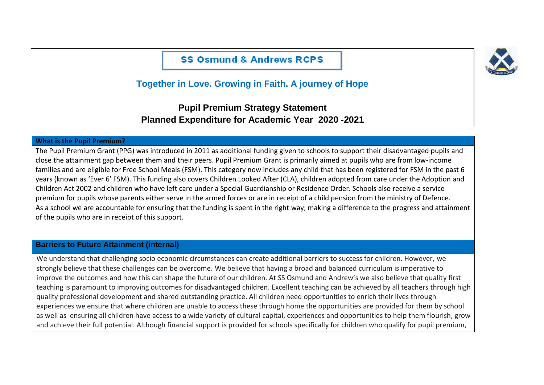**SS Osmund & Andrews RCPS** 



# **Together in Love. Growing in Faith. A journey of Hope**

## **Pupil Premium Strategy Statement Planned Expenditure for Academic Year 2020 -2021**

#### **What is the Pupil Premium?**

The Pupil Premium Grant (PPG) was introduced in 2011 as additional funding given to schools to support their disadvantaged pupils and close the attainment gap between them and their peers. Pupil Premium Grant is primarily aimed at pupils who are from low-income families and are eligible for Free School Meals (FSM). This category now includes any child that has been registered for FSM in the past 6 years (known as 'Ever 6' FSM). This funding also covers Children Looked After (CLA), children adopted from care under the Adoption and Children Act 2002 and children who have left care under a Special Guardianship or Residence Order. Schools also receive a service premium for pupils whose parents either serve in the armed forces or are in receipt of a child pension from the ministry of Defence. As a school we are accountable for ensuring that the funding is spent in the right way; making a difference to the progress and attainment of the pupils who are in receipt of this support.

#### **Barriers to Future Attainment (internal)**

We understand that challenging socio economic circumstances can create additional barriers to success for children. However, we strongly believe that these challenges can be overcome. We believe that having a broad and balanced curriculum is imperative to improve the outcomes and how this can shape the future of our children. At SS Osmund and Andrew's we also believe that quality first teaching is paramount to improving outcomes for disadvantaged children. Excellent teaching can be achieved by all teachers through high quality professional development and shared outstanding practice. All children need opportunities to enrich their lives through experiences we ensure that where children are unable to access these through home the opportunities are provided for them by school as well as ensuring all children have access to a wide variety of cultural capital, experiences and opportunities to help them flourish, grow and achieve their full potential. Although financial support is provided for schools specifically for children who qualify for pupil premium,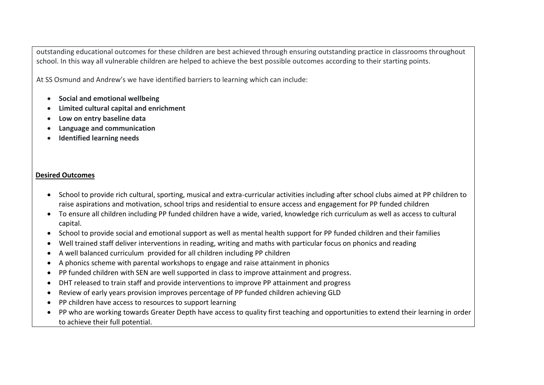outstanding educational outcomes for these children are best achieved through ensuring outstanding practice in classrooms throughout school. In this way all vulnerable children are helped to achieve the best possible outcomes according to their starting points.

At SS Osmund and Andrew's we have identified barriers to learning which can include:

- **Social and emotional wellbeing**
- **Limited cultural capital and enrichment**
- **Low on entry baseline data**
- **Language and communication**
- **Identified learning needs**

#### **Desired Outcomes**

- School to provide rich cultural, sporting, musical and extra-curricular activities including after school clubs aimed at PP children to raise aspirations and motivation, school trips and residential to ensure access and engagement for PP funded children
- To ensure all children including PP funded children have a wide, varied, knowledge rich curriculum as well as access to cultural capital.
- School to provide social and emotional support as well as mental health support for PP funded children and their families
- Well trained staff deliver interventions in reading, writing and maths with particular focus on phonics and reading
- A well balanced curriculum provided for all children including PP children
- A phonics scheme with parental workshops to engage and raise attainment in phonics
- PP funded children with SEN are well supported in class to improve attainment and progress.
- DHT released to train staff and provide interventions to improve PP attainment and progress
- Review of early years provision improves percentage of PP funded children achieving GLD
- PP children have access to resources to support learning
- PP who are working towards Greater Depth have access to quality first teaching and opportunities to extend their learning in order to achieve their full potential.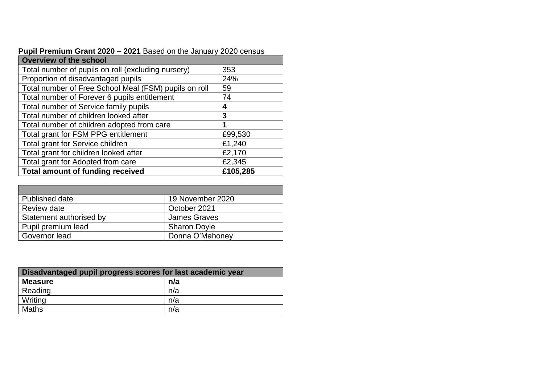| <b>Overview of the school</b>                         |          |  |  |  |
|-------------------------------------------------------|----------|--|--|--|
| Total number of pupils on roll (excluding nursery)    | 353      |  |  |  |
| Proportion of disadvantaged pupils                    | 24%      |  |  |  |
| Total number of Free School Meal (FSM) pupils on roll | 59       |  |  |  |
| Total number of Forever 6 pupils entitlement          | 74       |  |  |  |
| Total number of Service family pupils                 | 4        |  |  |  |
| Total number of children looked after                 | 3        |  |  |  |
| Total number of children adopted from care            | 1        |  |  |  |
| Total grant for FSM PPG entitlement                   | £99,530  |  |  |  |
| Total grant for Service children                      | £1,240   |  |  |  |
| Total grant for children looked after                 | £2,170   |  |  |  |
| Total grant for Adopted from care                     | £2,345   |  |  |  |
| <b>Total amount of funding received</b>               | £105,285 |  |  |  |

| Pupil Premium Grant 2020 - 2021 Based on the January 2020 census |  |  |
|------------------------------------------------------------------|--|--|
|------------------------------------------------------------------|--|--|

| Published date          | 19 November 2020    |
|-------------------------|---------------------|
| Review date             | October 2021        |
| Statement authorised by | <b>James Graves</b> |
| Pupil premium lead      | <b>Sharon Doyle</b> |
| Governor lead           | Donna O'Mahoney     |

| Disadvantaged pupil progress scores for last academic year |     |  |  |
|------------------------------------------------------------|-----|--|--|
| <b>Measure</b>                                             | n/a |  |  |
| Reading                                                    | n/a |  |  |
| Writing                                                    | n/a |  |  |
| Maths                                                      | n/a |  |  |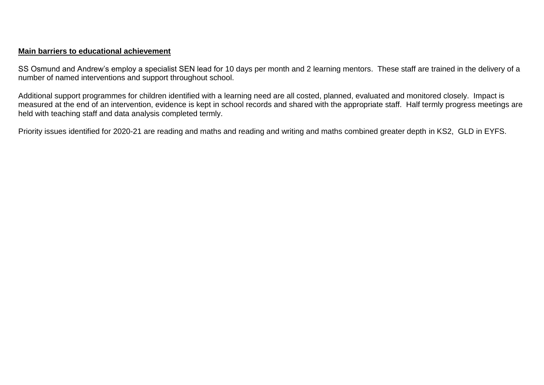## **Main barriers to educational achievement**

SS Osmund and Andrew's employ a specialist SEN lead for 10 days per month and 2 learning mentors. These staff are trained in the delivery of a number of named interventions and support throughout school.

Additional support programmes for children identified with a learning need are all costed, planned, evaluated and monitored closely. Impact is measured at the end of an intervention, evidence is kept in school records and shared with the appropriate staff. Half termly progress meetings are held with teaching staff and data analysis completed termly.

Priority issues identified for 2020-21 are reading and maths and reading and writing and maths combined greater depth in KS2, GLD in EYFS.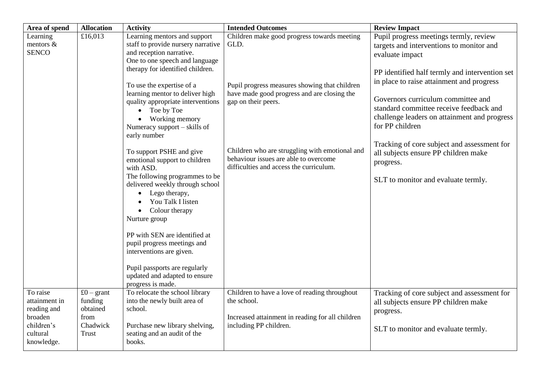| Area of spend                                                                               | <b>Allocation</b>                                              | <b>Activity</b>                                                                                                                                                                                                                                                                                                                                                                                                                                                                                                                                                                                                                                                                                                                                                                   | <b>Intended Outcomes</b>                                                                                                                                                                                                                                                                                         | <b>Review Impact</b>                                                                                                                                                                                                                                                                                                                                                                                                                                                                                |
|---------------------------------------------------------------------------------------------|----------------------------------------------------------------|-----------------------------------------------------------------------------------------------------------------------------------------------------------------------------------------------------------------------------------------------------------------------------------------------------------------------------------------------------------------------------------------------------------------------------------------------------------------------------------------------------------------------------------------------------------------------------------------------------------------------------------------------------------------------------------------------------------------------------------------------------------------------------------|------------------------------------------------------------------------------------------------------------------------------------------------------------------------------------------------------------------------------------------------------------------------------------------------------------------|-----------------------------------------------------------------------------------------------------------------------------------------------------------------------------------------------------------------------------------------------------------------------------------------------------------------------------------------------------------------------------------------------------------------------------------------------------------------------------------------------------|
| Learning<br>mentors $\&$<br><b>SENCO</b>                                                    | £16,013                                                        | Learning mentors and support<br>staff to provide nursery narrative<br>and reception narrative.<br>One to one speech and language<br>therapy for identified children.<br>To use the expertise of a<br>learning mentor to deliver high<br>quality appropriate interventions<br>Toe by Toe<br>Working memory<br>Numeracy support – skills of<br>early number<br>To support PSHE and give<br>emotional support to children<br>with ASD.<br>The following programmes to be<br>delivered weekly through school<br>Lego therapy,<br>You Talk I listen<br>Colour therapy<br>$\bullet$<br>Nurture group<br>PP with SEN are identified at<br>pupil progress meetings and<br>interventions are given.<br>Pupil passports are regularly<br>updated and adapted to ensure<br>progress is made. | Children make good progress towards meeting<br>GLD.<br>Pupil progress measures showing that children<br>have made good progress and are closing the<br>gap on their peers.<br>Children who are struggling with emotional and<br>behaviour issues are able to overcome<br>difficulties and access the curriculum. | Pupil progress meetings termly, review<br>targets and interventions to monitor and<br>evaluate impact<br>PP identified half termly and intervention set<br>in place to raise attainment and progress<br>Governors curriculum committee and<br>standard committee receive feedback and<br>challenge leaders on attainment and progress<br>for PP children<br>Tracking of core subject and assessment for<br>all subjects ensure PP children make<br>progress.<br>SLT to monitor and evaluate termly. |
| To raise<br>attainment in<br>reading and<br>broaden<br>children's<br>cultural<br>knowledge. | £0 – grant<br>funding<br>obtained<br>from<br>Chadwick<br>Trust | To relocate the school library<br>into the newly built area of<br>school.<br>Purchase new library shelving,<br>seating and an audit of the<br>books.                                                                                                                                                                                                                                                                                                                                                                                                                                                                                                                                                                                                                              | Children to have a love of reading throughout<br>the school.<br>Increased attainment in reading for all children<br>including PP children.                                                                                                                                                                       | Tracking of core subject and assessment for<br>all subjects ensure PP children make<br>progress.<br>SLT to monitor and evaluate termly.                                                                                                                                                                                                                                                                                                                                                             |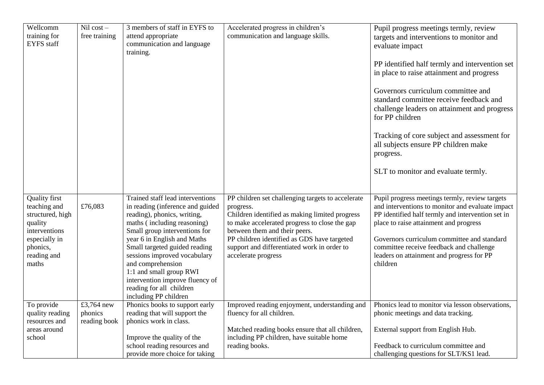| Wellcomm             | $Nil cost -$  | 3 members of staff in EYFS to    | Accelerated progress in children's                | Pupil progress meetings termly, review            |
|----------------------|---------------|----------------------------------|---------------------------------------------------|---------------------------------------------------|
| training for         | free training | attend appropriate               | communication and language skills.                | targets and interventions to monitor and          |
| <b>EYFS</b> staff    |               | communication and language       |                                                   |                                                   |
|                      |               | training.                        |                                                   | evaluate impact                                   |
|                      |               |                                  |                                                   |                                                   |
|                      |               |                                  |                                                   | PP identified half termly and intervention set    |
|                      |               |                                  |                                                   | in place to raise attainment and progress         |
|                      |               |                                  |                                                   |                                                   |
|                      |               |                                  |                                                   | Governors curriculum committee and                |
|                      |               |                                  |                                                   | standard committee receive feedback and           |
|                      |               |                                  |                                                   | challenge leaders on attainment and progress      |
|                      |               |                                  |                                                   | for PP children                                   |
|                      |               |                                  |                                                   |                                                   |
|                      |               |                                  |                                                   | Tracking of core subject and assessment for       |
|                      |               |                                  |                                                   | all subjects ensure PP children make              |
|                      |               |                                  |                                                   | progress.                                         |
|                      |               |                                  |                                                   |                                                   |
|                      |               |                                  |                                                   | SLT to monitor and evaluate termly.               |
|                      |               |                                  |                                                   |                                                   |
|                      |               |                                  |                                                   |                                                   |
| <b>Quality first</b> |               | Trained staff lead interventions | PP children set challenging targets to accelerate | Pupil progress meetings termly, review targets    |
| teaching and         | £76,083       | in reading (inference and guided | progress.                                         | and interventions to monitor and evaluate impact  |
| structured, high     |               | reading), phonics, writing,      | Children identified as making limited progress    | PP identified half termly and intervention set in |
| quality              |               | maths (including reasoning)      | to make accelerated progress to close the gap     | place to raise attainment and progress            |
| interventions        |               | Small group interventions for    | between them and their peers.                     |                                                   |
| especially in        |               | year 6 in English and Maths      | PP children identified as GDS have targeted       | Governors curriculum committee and standard       |
| phonics,             |               | Small targeted guided reading    | support and differentiated work in order to       | committee receive feedback and challenge          |
| reading and          |               | sessions improved vocabulary     | accelerate progress                               | leaders on attainment and progress for PP         |
| maths                |               | and comprehension                |                                                   | children                                          |
|                      |               | 1:1 and small group RWI          |                                                   |                                                   |
|                      |               | intervention improve fluency of  |                                                   |                                                   |
|                      |               | reading for all children         |                                                   |                                                   |
|                      |               | including PP children            |                                                   |                                                   |
| To provide           | £3,764 new    | Phonics books to support early   | Improved reading enjoyment, understanding and     | Phonics lead to monitor via lesson observations,  |
| quality reading      | phonics       | reading that will support the    | fluency for all children.                         | phonic meetings and data tracking.                |
| resources and        | reading book  | phonics work in class.           |                                                   |                                                   |
| areas around         |               |                                  | Matched reading books ensure that all children,   | External support from English Hub.                |
| school               |               | Improve the quality of the       | including PP children, have suitable home         |                                                   |
|                      |               | school reading resources and     | reading books.                                    | Feedback to curriculum committee and              |
|                      |               | provide more choice for taking   |                                                   | challenging questions for SLT/KS1 lead.           |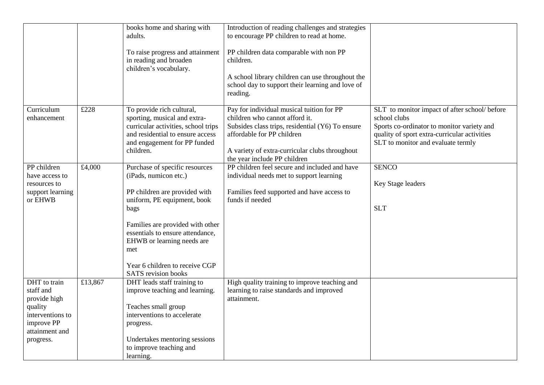|                                                                                                                       |         | books home and sharing with<br>adults.<br>To raise progress and attainment<br>in reading and broaden<br>children's vocabulary.                                                                                                                                                                        | Introduction of reading challenges and strategies<br>to encourage PP children to read at home.<br>PP children data comparable with non PP<br>children.<br>A school library children can use throughout the<br>school day to support their learning and love of<br>reading. |                                                                                                                                                                                                   |
|-----------------------------------------------------------------------------------------------------------------------|---------|-------------------------------------------------------------------------------------------------------------------------------------------------------------------------------------------------------------------------------------------------------------------------------------------------------|----------------------------------------------------------------------------------------------------------------------------------------------------------------------------------------------------------------------------------------------------------------------------|---------------------------------------------------------------------------------------------------------------------------------------------------------------------------------------------------|
| Curriculum<br>enhancement                                                                                             | £228    | To provide rich cultural,<br>sporting, musical and extra-<br>curricular activities, school trips<br>and residential to ensure access<br>and engagement for PP funded<br>children.                                                                                                                     | Pay for individual musical tuition for PP<br>children who cannot afford it.<br>Subsides class trips, residential (Y6) To ensure<br>affordable for PP children<br>A variety of extra-curricular clubs throughout<br>the year include PP children                            | SLT to monitor impact of after school/ before<br>school clubs<br>Sports co-ordinator to monitor variety and<br>quality of sport extra-curricular activities<br>SLT to monitor and evaluate termly |
| PP children<br>have access to<br>resources to<br>support learning<br>or EHWB                                          | £4,000  | Purchase of specific resources<br>(iPads, numicon etc.)<br>PP children are provided with<br>uniform, PE equipment, book<br>bags<br>Families are provided with other<br>essentials to ensure attendance,<br>EHWB or learning needs are<br>met<br>Year 6 children to receive CGP<br>SATS revision books | PP children feel secure and included and have<br>individual needs met to support learning<br>Families feed supported and have access to<br>funds if needed                                                                                                                 | <b>SENCO</b><br>Key Stage leaders<br><b>SLT</b>                                                                                                                                                   |
| DHT to train<br>staff and<br>provide high<br>quality<br>interventions to<br>improve PP<br>attainment and<br>progress. | £13,867 | DHT leads staff training to<br>improve teaching and learning.<br>Teaches small group<br>interventions to accelerate<br>progress.<br>Undertakes mentoring sessions<br>to improve teaching and<br>learning.                                                                                             | High quality training to improve teaching and<br>learning to raise standards and improved<br>attainment.                                                                                                                                                                   |                                                                                                                                                                                                   |